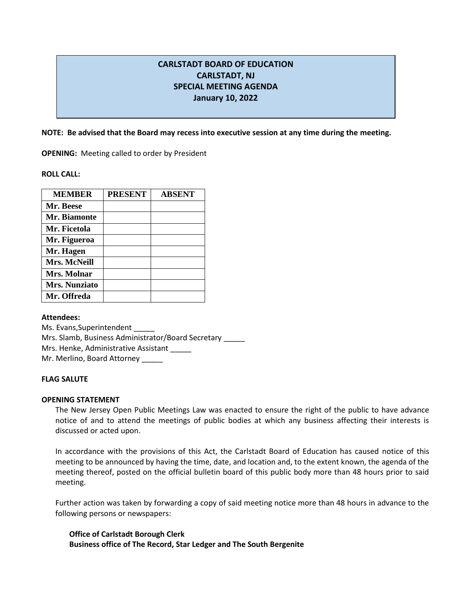# **CARLSTADT BOARD OF EDUCATION CARLSTADT, NJ SPECIAL MEETING AGENDA January 10, 2022**

**NOTE: Be advised that the Board may recess into executive session at any time during the meeting.**

**OPENING:** Meeting called to order by President

**ROLL CALL:** 

| <b>MEMBER</b>        | <b>PRESENT</b> | <b>ABSENT</b> |
|----------------------|----------------|---------------|
| Mr. Beese            |                |               |
| Mr. Biamonte         |                |               |
| Mr. Ficetola         |                |               |
| Mr. Figueroa         |                |               |
| Mr. Hagen            |                |               |
| <b>Mrs. McNeill</b>  |                |               |
| Mrs. Molnar          |                |               |
| <b>Mrs. Nunziato</b> |                |               |
| Mr. Offreda          |                |               |

**Attendees:**

Ms. Evans, Superintendent Mrs. Slamb, Business Administrator/Board Secretary \_\_\_\_\_ Mrs. Henke, Administrative Assistant Mr. Merlino, Board Attorney

## **FLAG SALUTE**

## **OPENING STATEMENT**

The New Jersey Open Public Meetings Law was enacted to ensure the right of the public to have advance notice of and to attend the meetings of public bodies at which any business affecting their interests is discussed or acted upon.

In accordance with the provisions of this Act, the Carlstadt Board of Education has caused notice of this meeting to be announced by having the time, date, and location and, to the extent known, the agenda of the meeting thereof, posted on the official bulletin board of this public body more than 48 hours prior to said meeting.

Further action was taken by forwarding a copy of said meeting notice more than 48 hours in advance to the following persons or newspapers:

**Office of Carlstadt Borough Clerk Business office of The Record, Star Ledger and The South Bergenite**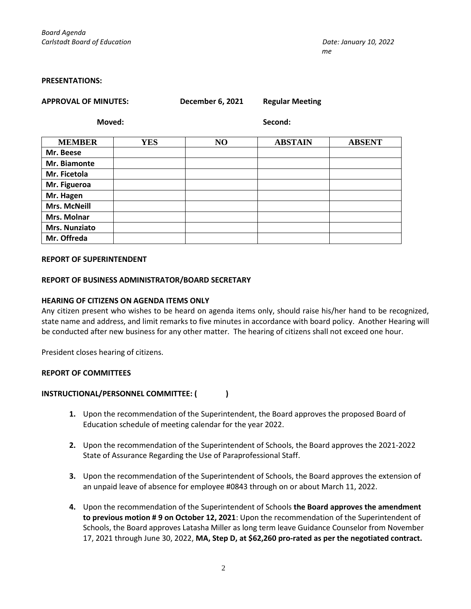#### **PRESENTATIONS:**

|  |  | APPROVAL OF MINUTES: |  |
|--|--|----------------------|--|
|  |  |                      |  |

**APPROVAL OF MINUTES: December 6, 2021 Regular Meeting**

**Moved: Second:**

| <b>MEMBER</b>        | <b>YES</b> | NO | <b>ABSTAIN</b> | <b>ABSENT</b> |
|----------------------|------------|----|----------------|---------------|
| Mr. Beese            |            |    |                |               |
| Mr. Biamonte         |            |    |                |               |
| Mr. Ficetola         |            |    |                |               |
| Mr. Figueroa         |            |    |                |               |
| Mr. Hagen            |            |    |                |               |
| <b>Mrs. McNeill</b>  |            |    |                |               |
| <b>Mrs. Molnar</b>   |            |    |                |               |
| <b>Mrs. Nunziato</b> |            |    |                |               |
| Mr. Offreda          |            |    |                |               |

#### **REPORT OF SUPERINTENDENT**

## **REPORT OF BUSINESS ADMINISTRATOR/BOARD SECRETARY**

## **HEARING OF CITIZENS ON AGENDA ITEMS ONLY**

Any citizen present who wishes to be heard on agenda items only, should raise his/her hand to be recognized, state name and address, and limit remarks to five minutes in accordance with board policy. Another Hearing will be conducted after new business for any other matter. The hearing of citizens shall not exceed one hour.

President closes hearing of citizens.

## **REPORT OF COMMITTEES**

## **INSTRUCTIONAL/PERSONNEL COMMITTEE: ( )**

- **1.** Upon the recommendation of the Superintendent, the Board approves the proposed Board of Education schedule of meeting calendar for the year 2022.
- **2.** Upon the recommendation of the Superintendent of Schools, the Board approves the 2021-2022 State of Assurance Regarding the Use of Paraprofessional Staff.
- **3.** Upon the recommendation of the Superintendent of Schools, the Board approves the extension of an unpaid leave of absence for employee #0843 through on or about March 11, 2022.
- **4.** Upon the recommendation of the Superintendent of Schools **the Board approves the amendment to previous motion # 9 on October 12, 2021**: Upon the recommendation of the Superintendent of Schools, the Board approves Latasha Miller as long term leave Guidance Counselor from November 17, 2021 through June 30, 2022, **MA, Step D, at \$62,260 pro-rated as per the negotiated contract.**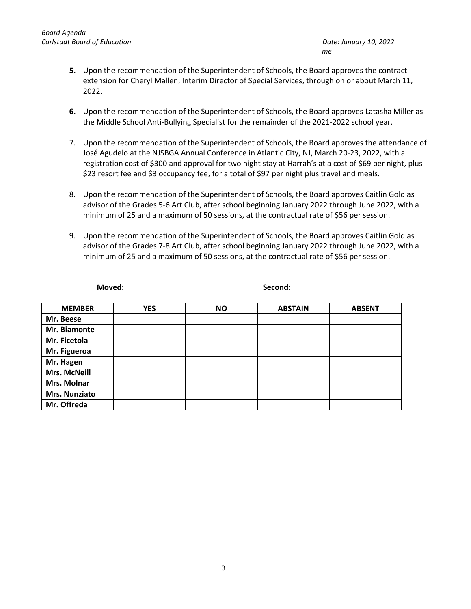- **5.** Upon the recommendation of the Superintendent of Schools, the Board approves the contract extension for Cheryl Mallen, Interim Director of Special Services, through on or about March 11, 2022.
- **6.** Upon the recommendation of the Superintendent of Schools, the Board approves Latasha Miller as the Middle School Anti-Bullying Specialist for the remainder of the 2021-2022 school year.
- 7. Upon the recommendation of the Superintendent of Schools, the Board approves the attendance of José Agudelo at the NJSBGA Annual Conference in Atlantic City, NJ, March 20-23, 2022, with a registration cost of \$300 and approval for two night stay at Harrah's at a cost of \$69 per night, plus \$23 resort fee and \$3 occupancy fee, for a total of \$97 per night plus travel and meals.
- 8. Upon the recommendation of the Superintendent of Schools, the Board approves Caitlin Gold as advisor of the Grades 5-6 Art Club, after school beginning January 2022 through June 2022, with a minimum of 25 and a maximum of 50 sessions, at the contractual rate of \$56 per session.
- 9. Upon the recommendation of the Superintendent of Schools, the Board approves Caitlin Gold as advisor of the Grades 7-8 Art Club, after school beginning January 2022 through June 2022, with a minimum of 25 and a maximum of 50 sessions, at the contractual rate of \$56 per session.

| Moved:              |            | Second:   |                |               |  |
|---------------------|------------|-----------|----------------|---------------|--|
| <b>MEMBER</b>       | <b>YES</b> | <b>NO</b> | <b>ABSTAIN</b> | <b>ABSENT</b> |  |
| Mr. Beese           |            |           |                |               |  |
| Mr. Biamonte        |            |           |                |               |  |
| Mr. Ficetola        |            |           |                |               |  |
| Mr. Figueroa        |            |           |                |               |  |
| Mr. Hagen           |            |           |                |               |  |
| <b>Mrs. McNeill</b> |            |           |                |               |  |
| Mrs. Molnar         |            |           |                |               |  |
| Mrs. Nunziato       |            |           |                |               |  |
| Mr. Offreda         |            |           |                |               |  |
|                     |            |           |                |               |  |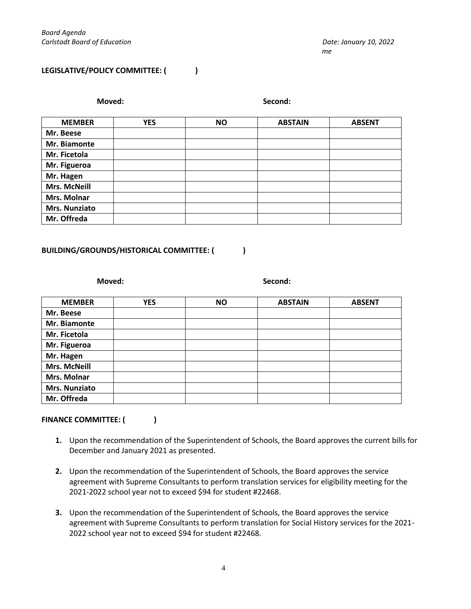## **LEGISLATIVE/POLICY COMMITTEE: ( )**

| Moved:              |            |           |                |               |
|---------------------|------------|-----------|----------------|---------------|
| <b>MEMBER</b>       | <b>YES</b> | <b>NO</b> | <b>ABSTAIN</b> | <b>ABSENT</b> |
| Mr. Beese           |            |           |                |               |
| Mr. Biamonte        |            |           |                |               |
| Mr. Ficetola        |            |           |                |               |
| Mr. Figueroa        |            |           |                |               |
| Mr. Hagen           |            |           |                |               |
| <b>Mrs. McNeill</b> |            |           |                |               |
| Mrs. Molnar         |            |           |                |               |
| Mrs. Nunziato       |            |           |                |               |
| Mr. Offreda         |            |           |                |               |
|                     |            |           |                |               |

## **BUILDING/GROUNDS/HISTORICAL COMMITTEE: ( )**

**Moved: Second:**

| <b>MEMBER</b>       | <b>YES</b> | <b>NO</b> | <b>ABSTAIN</b> | <b>ABSENT</b> |
|---------------------|------------|-----------|----------------|---------------|
| Mr. Beese           |            |           |                |               |
| Mr. Biamonte        |            |           |                |               |
| Mr. Ficetola        |            |           |                |               |
| Mr. Figueroa        |            |           |                |               |
| Mr. Hagen           |            |           |                |               |
| <b>Mrs. McNeill</b> |            |           |                |               |
| <b>Mrs. Molnar</b>  |            |           |                |               |
| Mrs. Nunziato       |            |           |                |               |
| Mr. Offreda         |            |           |                |               |

## FINANCE COMMITTEE: ( )

- **1.** Upon the recommendation of the Superintendent of Schools, the Board approves the current bills for December and January 2021 as presented.
- **2.** Upon the recommendation of the Superintendent of Schools, the Board approves the service agreement with Supreme Consultants to perform translation services for eligibility meeting for the 2021-2022 school year not to exceed \$94 for student #22468.
- **3.** Upon the recommendation of the Superintendent of Schools, the Board approves the service agreement with Supreme Consultants to perform translation for Social History services for the 2021- 2022 school year not to exceed \$94 for student #22468.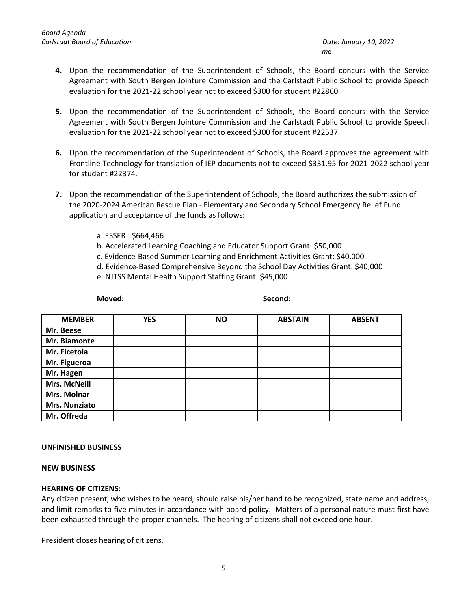- **4.** Upon the recommendation of the Superintendent of Schools, the Board concurs with the Service Agreement with South Bergen Jointure Commission and the Carlstadt Public School to provide Speech evaluation for the 2021-22 school year not to exceed \$300 for student #22860.
- **5.** Upon the recommendation of the Superintendent of Schools, the Board concurs with the Service Agreement with South Bergen Jointure Commission and the Carlstadt Public School to provide Speech evaluation for the 2021-22 school year not to exceed \$300 for student #22537.
- **6.** Upon the recommendation of the Superintendent of Schools, the Board approves the agreement with Frontline Technology for translation of IEP documents not to exceed \$331.95 for 2021-2022 school year for student #22374.
- **7.** Upon the recommendation of the Superintendent of Schools, the Board authorizes the submission of the 2020-2024 American Rescue Plan - Elementary and Secondary School Emergency Relief Fund application and acceptance of the funds as follows:
	- a. ESSER : \$664,466
	- b. Accelerated Learning Coaching and Educator Support Grant: \$50,000
	- c. Evidence-Based Summer Learning and Enrichment Activities Grant: \$40,000
	- d. Evidence-Based Comprehensive Beyond the School Day Activities Grant: \$40,000
	- e. NJTSS Mental Health Support Staffing Grant: \$45,000

**Moved:** Second:

| <b>MEMBER</b> | <b>YES</b> | <b>NO</b> | <b>ABSTAIN</b> | <b>ABSENT</b> |
|---------------|------------|-----------|----------------|---------------|
| Mr. Beese     |            |           |                |               |
| Mr. Biamonte  |            |           |                |               |
| Mr. Ficetola  |            |           |                |               |
| Mr. Figueroa  |            |           |                |               |
| Mr. Hagen     |            |           |                |               |
| Mrs. McNeill  |            |           |                |               |
| Mrs. Molnar   |            |           |                |               |
| Mrs. Nunziato |            |           |                |               |
| Mr. Offreda   |            |           |                |               |

## **UNFINISHED BUSINESS**

## **NEW BUSINESS**

## **HEARING OF CITIZENS:**

Any citizen present, who wishes to be heard, should raise his/her hand to be recognized, state name and address, and limit remarks to five minutes in accordance with board policy. Matters of a personal nature must first have been exhausted through the proper channels. The hearing of citizens shall not exceed one hour.

President closes hearing of citizens.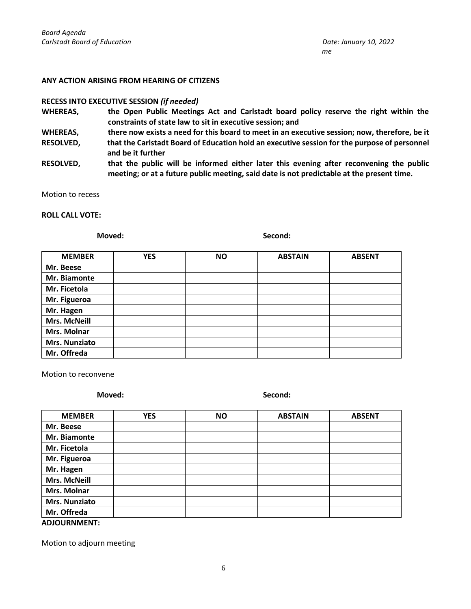#### **ANY ACTION ARISING FROM HEARING OF CITIZENS**

#### **RECESS INTO EXECUTIVE SESSION** *(if needed)*

- **WHEREAS, the Open Public Meetings Act and Carlstadt board policy reserve the right within the constraints of state law to sit in executive session; and**
- **WHEREAS, there now exists a need for this board to meet in an executive session; now, therefore, be it**
- **RESOLVED, that the Carlstadt Board of Education hold an executive session for the purpose of personnel and be it further**
- **RESOLVED, that the public will be informed either later this evening after reconvening the public meeting; or at a future public meeting, said date is not predictable at the present time.**

Motion to recess

#### **ROLL CALL VOTE:**

**Moved: Second:**

| <b>MEMBER</b>        | <b>YES</b> | <b>NO</b> | <b>ABSTAIN</b> | <b>ABSENT</b> |
|----------------------|------------|-----------|----------------|---------------|
| Mr. Beese            |            |           |                |               |
| Mr. Biamonte         |            |           |                |               |
| Mr. Ficetola         |            |           |                |               |
| Mr. Figueroa         |            |           |                |               |
| Mr. Hagen            |            |           |                |               |
| <b>Mrs. McNeill</b>  |            |           |                |               |
| Mrs. Molnar          |            |           |                |               |
| <b>Mrs. Nunziato</b> |            |           |                |               |
| Mr. Offreda          |            |           |                |               |

Motion to reconvene

**Moved: Second:**

| <b>MEMBER</b> | <b>YES</b> | <b>NO</b> | <b>ABSTAIN</b> | <b>ABSENT</b> |
|---------------|------------|-----------|----------------|---------------|
| Mr. Beese     |            |           |                |               |
| Mr. Biamonte  |            |           |                |               |
| Mr. Ficetola  |            |           |                |               |
| Mr. Figueroa  |            |           |                |               |
| Mr. Hagen     |            |           |                |               |
| Mrs. McNeill  |            |           |                |               |
| Mrs. Molnar   |            |           |                |               |
| Mrs. Nunziato |            |           |                |               |
| Mr. Offreda   |            |           |                |               |
| . <i>.</i>    |            |           |                |               |

**ADJOURNMENT:**

Motion to adjourn meeting